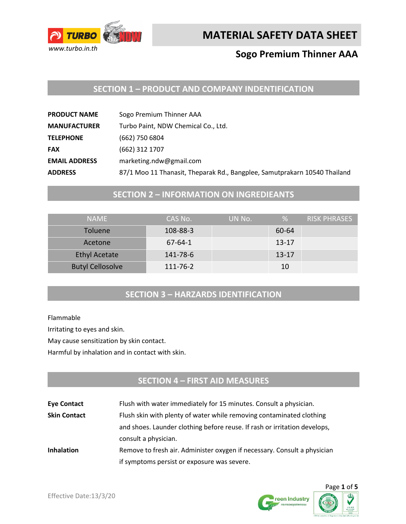

**MATERIAL SAFETY DATA SHEET** 

# **Sogo Premium Thinner AAA**

# **SECTION 1 – PRODUCT AND COMPANY INDENTIFICATION**

| <b>PRODUCT NAME</b>  | Sogo Premium Thinner AAA                                                  |
|----------------------|---------------------------------------------------------------------------|
| <b>MANUFACTURER</b>  | Turbo Paint, NDW Chemical Co., Ltd.                                       |
| <b>TELEPHONE</b>     | (662) 750 6804                                                            |
| <b>FAX</b>           | (662) 312 1707                                                            |
| <b>EMAIL ADDRESS</b> | marketing.ndw@gmail.com                                                   |
| <b>ADDRESS</b>       | 87/1 Moo 11 Thanasit, Theparak Rd., Bangplee, Samutprakarn 10540 Thailand |

### **SECTION 2 – INFORMATION ON INGREDIEANTS**

| <b>NAMF</b>             | CAS No.       | UN No. | %         | RISK PHRASES |
|-------------------------|---------------|--------|-----------|--------------|
| <b>Toluene</b>          | 108-88-3      |        | 60-64     |              |
| Acetone                 | $67 - 64 - 1$ |        | $13 - 17$ |              |
| <b>Ethyl Acetate</b>    | 141-78-6      |        | $13 - 17$ |              |
| <b>Butyl Cellosolve</b> | 111-76-2      |        | 10        |              |

### **SECTION 3 – HARZARDS IDENTIFICATION**

Flammable

Irritating to eyes and skin.

May cause sensitization by skin contact.

Harmful by inhalation and in contact with skin.

# **SECTION 4 – FIRST AID MEASURES**

| <b>Eye Contact</b>  | Flush with water immediately for 15 minutes. Consult a physician.         |  |
|---------------------|---------------------------------------------------------------------------|--|
| <b>Skin Contact</b> | Flush skin with plenty of water while removing contaminated clothing      |  |
|                     | and shoes. Launder clothing before reuse. If rash or irritation develops, |  |
|                     | consult a physician.                                                      |  |
| <b>Inhalation</b>   | Remove to fresh air. Administer oxygen if necessary. Consult a physician  |  |
|                     | if symptoms persist or exposure was severe.                               |  |



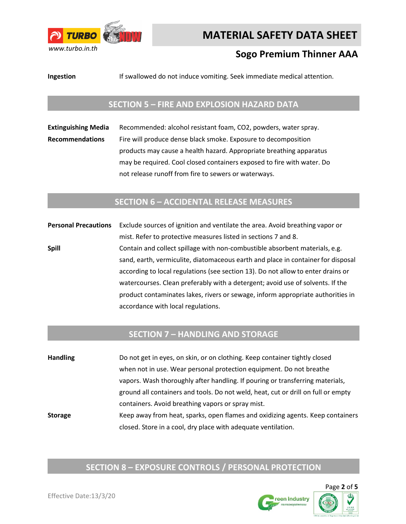

# **MATERIAL SAFETY DATA SHEET**

# **Sogo Premium Thinner AAA**

**Ingestion** If swallowed do not induce vomiting. Seek immediate medical attention.

### **SECTION 5 – FIRE AND EXPLOSION HAZARD DATA**

**Extinguishing Media** Recommended: alcohol resistant foam, CO2, powders, water spray. **Recommendations** Fire will produce dense black smoke. Exposure to decomposition products may cause a health hazard. Appropriate breathing apparatus may be required. Cool closed containers exposed to fire with water. Do not release runoff from fire to sewers or waterways.

#### **SECTION 6 – ACCIDENTAL RELEASE MEASURES**

**Personal Precautions** Exclude sources of ignition and ventilate the area. Avoid breathing vapor or mist. Refer to protective measures listed in sections 7 and 8. **Spill Spill** Contain and collect spillage with non-combustible absorbent materials, e.g. sand, earth, vermiculite, diatomaceous earth and place in container for disposal according to local regulations (see section 13). Do not allow to enter drains or watercourses. Clean preferably with a detergent; avoid use of solvents. If the product contaminates lakes, rivers or sewage, inform appropriate authorities in accordance with local regulations.

### **SECTION 7 – HANDLING AND STORAGE**

**Handling** Do not get in eyes, on skin, or on clothing. Keep container tightly closed when not in use. Wear personal protection equipment. Do not breathe vapors. Wash thoroughly after handling. If pouring or transferring materials, ground all containers and tools. Do not weld, heat, cut or drill on full or empty containers. Avoid breathing vapors or spray mist. **Storage** Keep away from heat, sparks, open flames and oxidizing agents. Keep containers closed. Store in a cool, dry place with adequate ventilation.

# **SECTION 8 – EXPOSURE CONTROLS / PERSONAL PROTECTION**

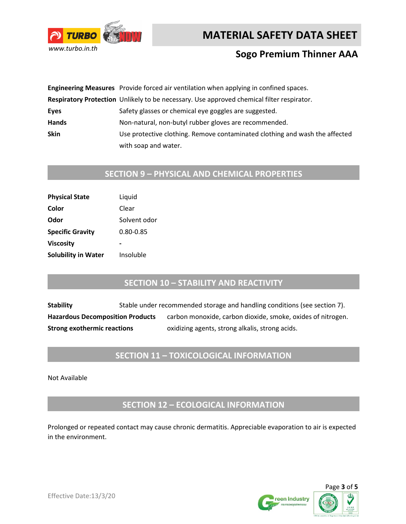



## **Sogo Premium Thinner AAA**

|             | Engineering Measures Provide forced air ventilation when applying in confined spaces.     |
|-------------|-------------------------------------------------------------------------------------------|
|             | Respiratory Protection Unlikely to be necessary. Use approved chemical filter respirator. |
| Eyes        | Safety glasses or chemical eye goggles are suggested.                                     |
| Hands       | Non-natural, non-butyl rubber gloves are recommended.                                     |
| <b>Skin</b> | Use protective clothing. Remove contaminated clothing and wash the affected               |
|             | with soap and water.                                                                      |

# **SECTION 9 – PHYSICAL AND CHEMICAL PROPERTIES**

| <b>Physical State</b>      | Liquid       |
|----------------------------|--------------|
| Color                      | Clear        |
| Odor                       | Solvent odor |
| <b>Specific Gravity</b>    | 0.80-0.85    |
| <b>Viscosity</b>           |              |
| <b>Solubility in Water</b> | Insoluble    |

### **SECTION 10 – STABILITY AND REACTIVITY**

**Stability** Stable under recommended storage and handling conditions (see section 7). Hazardous Decomposition Products carbon monoxide, carbon dioxide, smoke, oxides of nitrogen. **Strong exothermic reactions** oxidizing agents, strong alkalis, strong acids.

### **SECTION 11 – TOXICOLOGICAL INFORMATION**

Not Available

**SECTION 12 – ECOLOGICAL INFORMATION**

Prolonged or repeated contact may cause chronic dermatitis. Appreciable evaporation to air is expected in the environment.



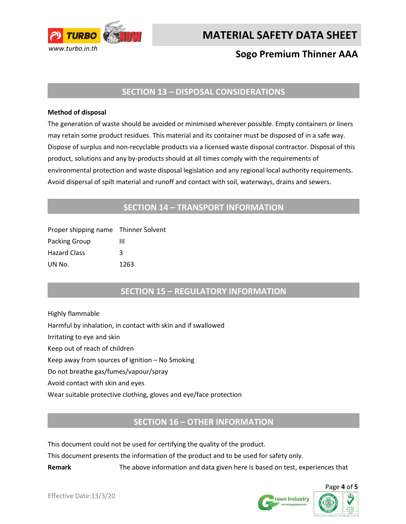

**MATERIAL SAFETY DATA SHEET** 

# **Sogo Premium Thinner AAA**

### **SECTION 13 – DISPOSAL CONSIDERATIONS**

#### **Method of disposal**

The generation of waste should be avoided or minimised wherever possible. Empty containers or liners may retain some product residues. This material and its container must be disposed of in a safe way. Dispose of surplus and non-recyclable products via a licensed waste disposal contractor. Disposal of this product, solutions and any by-products should at all times comply with the requirements of environmental protection and waste disposal legislation and any regional local authority requirements. Avoid dispersal of spilt material and runoff and contact with soil, waterways, drains and sewers.

### **SECTION 14 – TRANSPORT INFORMATION**

| Proper shipping name Thinner Solvent |      |
|--------------------------------------|------|
| Packing Group                        | ш    |
| <b>Hazard Class</b>                  | κ    |
| UN No.                               | 1263 |

### **SECTION 15 – REGULATORY INFORMATION**

Highly flammable Harmful by inhalation, in contact with skin and if swallowed Irritating to eye and skin Keep out of reach of children Keep away from sources of ignition – No Smoking Do not breathe gas/fumes/vapour/spray Avoid contact with skin and eyes Wear suitable protective clothing, gloves and eye/face protection

### **SECTION 16 – OTHER INFORMATION**

This document could not be used for certifying the quality of the product.

This document presents the information of the product and to be used for safety only.

**Remark** The above information and data given here is based on test, experiences that